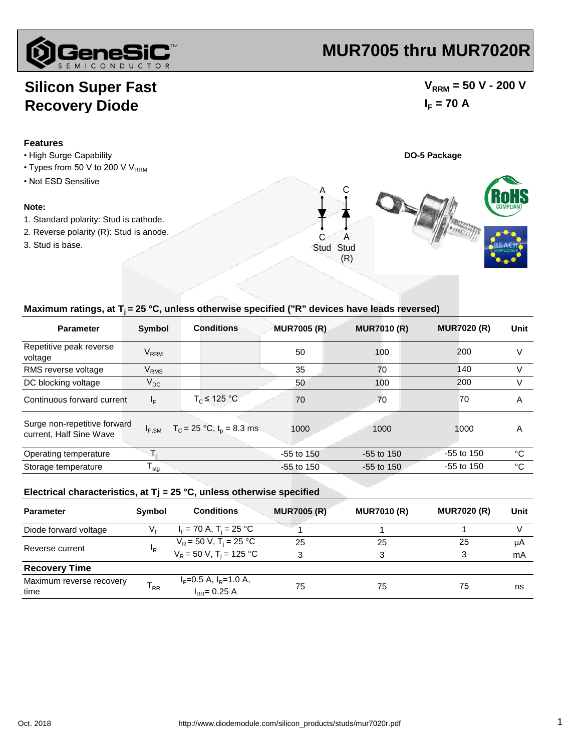

# **MUR7005 thru MUR7020R**

### **Silicon Super Fast Recovery Diode**

### $V_{\text{RRM}}$  = 50 V - 200 V  $I_F = 70 A$



#### Maximum ratings, at T<sub>i</sub> = 25 °C, unless otherwise specified ("R" devices have leads reversed)

| <b>Parameter</b>                                        | <b>Symbol</b>          | <b>Conditions</b>              | <b>MUR7005 (R)</b> | <b>MUR7010 (R)</b> | <b>MUR7020 (R)</b> | Unit |
|---------------------------------------------------------|------------------------|--------------------------------|--------------------|--------------------|--------------------|------|
| Repetitive peak reverse<br>voltage                      | <b>V<sub>RRM</sub></b> |                                | 50                 | 100                | 200                | V    |
| RMS reverse voltage                                     | <b>V<sub>RMS</sub></b> |                                | 35                 | 70                 | 140                | V    |
| DC blocking voltage                                     | $V_{DC}$               |                                | 50                 | 100                | 200                | V    |
| Continuous forward current                              | $I_F$                  | $T_c \leq 125 °C$              | 70                 | 70                 | 70                 | A    |
| Surge non-repetitive forward<br>current, Half Sine Wave | $I_{F,SM}$             | $T_c = 25 °C$ , $t_p = 8.3$ ms | 1000               | 1000               | 1000               | A    |
| Operating temperature                                   |                        |                                | $-55$ to $150$     | $-55$ to 150       | $-55$ to 150       | °C   |
| Storage temperature                                     | $T_{\text{stg}}$       |                                | $-55$ to $150$     | $-55$ to 150       | $-55$ to 150       | °C   |

#### **Electrical characteristics, at Tj = 25 °C, unless otherwise specified**

| <b>Parameter</b>                 | Symbol         | <b>Conditions</b>                                  | <b>MUR7005 (R)</b> | <b>MUR7010 (R)</b> | <b>MUR7020 (R)</b> | Unit |
|----------------------------------|----------------|----------------------------------------------------|--------------------|--------------------|--------------------|------|
| Diode forward voltage            | V⊧             | $I_F$ = 70 A, T <sub>i</sub> = 25 °C               |                    |                    |                    |      |
|                                  | <sup>I</sup> R | $V_R = 50 V, T_i = 25 °C$                          | 25                 | 25                 | 25                 | μA   |
| Reverse current                  |                | $V_R = 50 V$ , T <sub>i</sub> = 125 °C             | 3                  | 3                  | 3                  | mA   |
| <b>Recovery Time</b>             |                |                                                    |                    |                    |                    |      |
| Maximum reverse recovery<br>time | $T_{RR}$       | $I_F = 0.5$ A, $I_R = 1.0$ A,<br>$I_{RR} = 0.25 A$ | 75                 | 75                 | 75                 | ns   |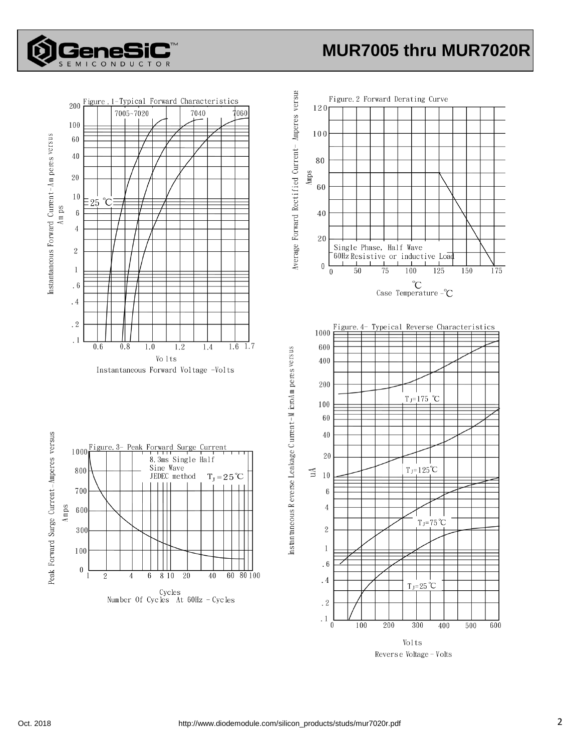

## **MUR7005 thru MUR7020R**



Volts Reverse Voltage - Volts